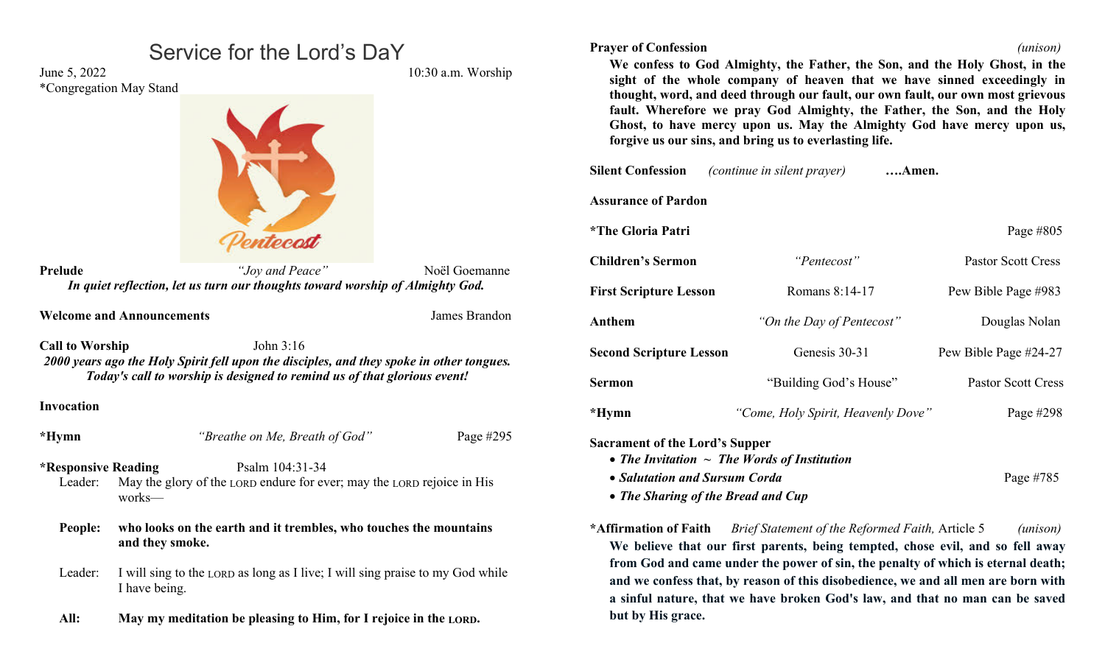|                                                                                                                    | Service for the Lord's DaY                                                                     |                          | <b>Prayer of Confest</b>                      |
|--------------------------------------------------------------------------------------------------------------------|------------------------------------------------------------------------------------------------|--------------------------|-----------------------------------------------|
| June 5, 2022<br>*Congregation May Stand                                                                            |                                                                                                | 10:30 a.m. Worship       | We confess<br>sight of the<br>thought, wor    |
|                                                                                                                    |                                                                                                |                          | fault. Where<br>Ghost, to ha<br>forgive us ou |
|                                                                                                                    |                                                                                                |                          | <b>Silent Confession</b>                      |
|                                                                                                                    |                                                                                                |                          | <b>Assurance of Pa</b>                        |
|                                                                                                                    |                                                                                                |                          | *The Gloria Pat                               |
| <b>Prelude</b>                                                                                                     | "Joy and Peace"                                                                                | Noël Goemanne            | <b>Children's Serm</b>                        |
|                                                                                                                    | In quiet reflection, let us turn our thoughts toward worship of Almighty God.                  | <b>First Scripture I</b> |                                               |
|                                                                                                                    | <b>Welcome and Announcements</b>                                                               | James Brandon            | Anthem                                        |
| <b>Call to Worship</b><br>2000 years ago the Holy Spirit fell upon the disciples, and they spoke in other tongues. | <b>Second Scriptur</b>                                                                         |                          |                                               |
|                                                                                                                    | Today's call to worship is designed to remind us of that glorious event!                       |                          | <b>Sermon</b>                                 |
| <b>Invocation</b>                                                                                                  |                                                                                                |                          | *Hymn                                         |
| *Hymn                                                                                                              | "Breathe on Me, Breath of God"                                                                 | Page #295                | Sacrament of the<br>• The Invitati            |
| <b>*Responsive Reading</b>                                                                                         | Psalm 104:31-34                                                                                | • Salutation             |                                               |
| Leader:                                                                                                            | May the glory of the LORD endure for ever; may the LORD rejoice in His<br>works-               | • The Sharin             |                                               |
| who looks on the earth and it trembles, who touches the mountains<br>People:                                       |                                                                                                |                          | *Affirmation of                               |
|                                                                                                                    | and they smoke.                                                                                |                          | We believe t                                  |
| Leader:                                                                                                            | I will sing to the LORD as long as I live; I will sing praise to my God while<br>I have being. |                          | from God an<br>and we confe<br>a sinful natu  |
| All:                                                                                                               | May my meditation be pleasing to Him, for I rejoice in the LORD.                               |                          | but by His gr                                 |

| <b>Prayer of Confession</b><br>(unison) |
|-----------------------------------------|
|-----------------------------------------|

**We confess to God Almighty, the Father, the Son, and the Holy Ghost, in the sight of the whole company of heaven that we have sinned exceedingly in thought, word, and deed through our fault, our own fault, our own most grievous fault. Wherefore we pray God Almighty, the Father, the Son, and the Holy Ghost, to have mercy upon us. May the Almighty God have mercy upon us, forgive us our sins, and bring us to everlasting life.**

| <b>Silent Confession</b>              | <i>(continue in silent prayer)</i> | Amen.                     |
|---------------------------------------|------------------------------------|---------------------------|
| <b>Assurance of Pardon</b>            |                                    |                           |
| <i><b>*The Gloria Patri</b></i>       |                                    | Page #805                 |
| <b>Children's Sermon</b>              | "Pentecost"                        | <b>Pastor Scott Cress</b> |
| <b>First Scripture Lesson</b>         | Romans 8:14-17                     | Pew Bible Page #983       |
| Anthem                                | "On the Day of Pentecost"          | Douglas Nolan             |
| <b>Second Scripture Lesson</b>        | Genesis 30-31                      | Pew Bible Page #24-27     |
| <b>Sermon</b>                         | "Building God's House"             | <b>Pastor Scott Cress</b> |
| $*Hymn$                               | "Come, Holy Spirit, Heavenly Dove" | Page #298                 |
| <b>Sacrament of the Lord's Supper</b> |                                    |                           |

*The Invitation ~ The Words of Institution*

- *Salutation and Sursum Corda* Page #785
- *The Sharing of the Bread and Cup*
- **\*Affirmation of Faith** *Brief Statement of the Reformed Faith,* Article 5 *(unison)* **We believe that our first parents, being tempted, chose evil, and so fell away from God and came under the power of sin, the penalty of which is eternal death; and we confess that, by reason of this disobedience, we and all men are born with a sinful nature, that we have broken God's law, and that no man can be saved but by His grace.**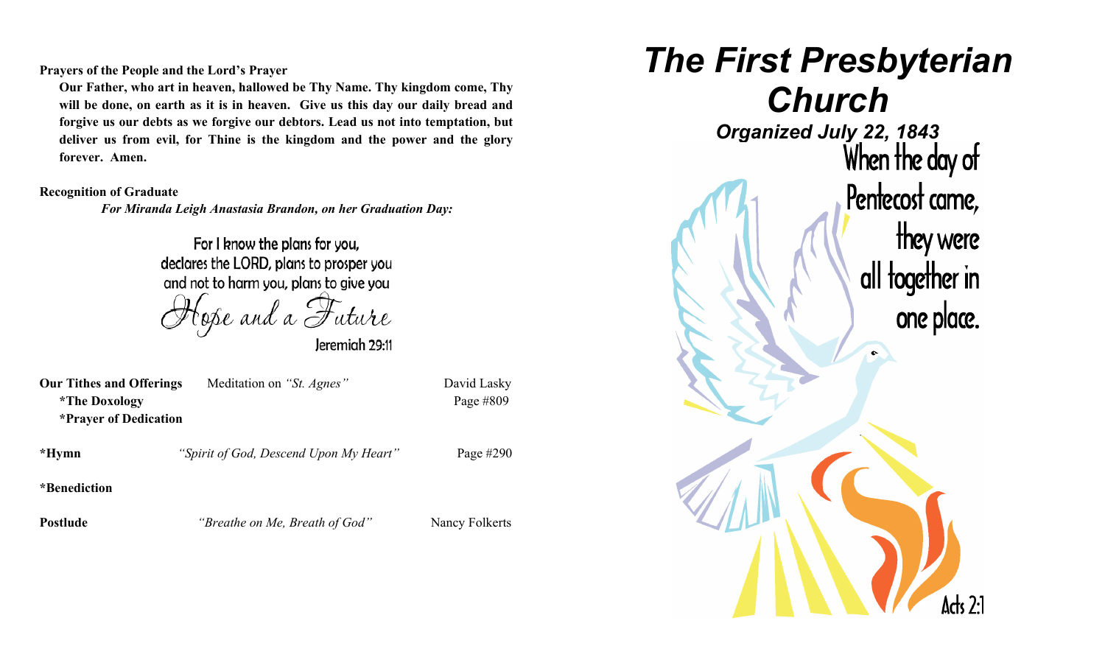**Prayers of the People and the Lord's Prayer**

**Our Father, who art in heaven, hallowed be Thy Name. Thy kingdom come, Thy will be done, on earth as it is in heaven. Give us this day our daily bread and forgive us our debts as we forgive our debtors. Lead us not into temptation, but deliver us from evil, for Thine is the kingdom and the power and the glory forever. Amen.**

#### **Recognition of Graduate**

*For Miranda Leigh Anastasia Brandon, on her Graduation Day:*

For I know the plans for you, declares the LORD, plans to prosper you and not to harm you, plans to give you

Jeremiah 29:11

| <b>Our Tithes and Offerings</b> | Meditation on "St. Agnes" | David Lasky |  |
|---------------------------------|---------------------------|-------------|--|
| <i>*The Doxology</i>            |                           | Page $#809$ |  |
| <b>*Prayer of Dedication</b>    |                           |             |  |

**\*Hymn** *"Spirit of God, Descend Upon My Heart"* Page #290

**\*Benediction**

**Postlude** *"Breathe on Me, Breath of God"* Nancy Folkerts

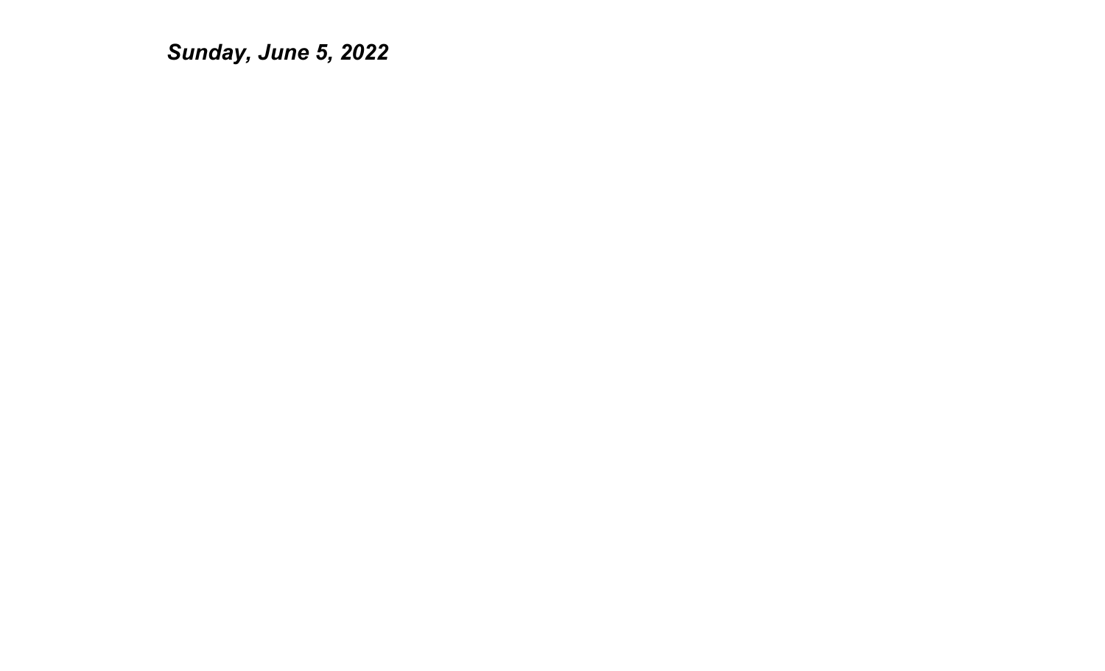*Sunday, June 5, 2022*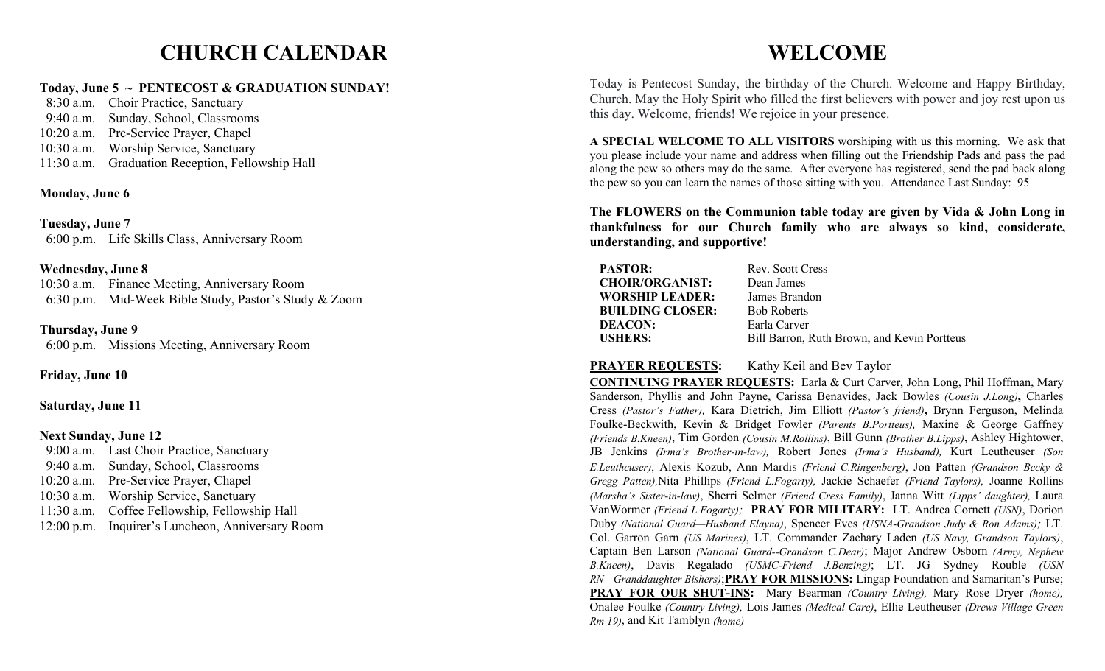## **CHURCH CALENDAR**

#### **Today, June 5 ~ PENTECOST & GRADUATION SUNDAY!**

 8:30 a.m. Choir Practice, Sanctuary 9:40 a.m. Sunday, School, Classrooms 10:20 a.m. Pre-Service Prayer, Chapel 10:30 a.m. Worship Service, Sanctuary 11:30 a.m. Graduation Reception, Fellowship Hall

### **Monday, June 6**

**Tuesday, June 7** 6:00 p.m. Life Skills Class, Anniversary Room

#### **Wednesday, June 8**

10:30 a.m. Finance Meeting, Anniversary Room 6:30 p.m. Mid-Week Bible Study, Pastor's Study & Zoom

#### **Thursday, June 9**

6:00 p.m. Missions Meeting, Anniversary Room

**Friday, June 10**

#### **Saturday, June 11**

#### **Next Sunday, June 12**

 9:00 a.m. Last Choir Practice, Sanctuary 9:40 a.m. Sunday, School, Classrooms 10:20 a.m. Pre-Service Prayer, Chapel 10:30 a.m. Worship Service, Sanctuary 11:30 a.m. Coffee Fellowship, Fellowship Hall 12:00 p.m. Inquirer's Luncheon, Anniversary Room

# **WELCOME**

Today is Pentecost Sunday, the birthday of the Church. Welcome and Happy Birthday, Church. May the Holy Spirit who filled the first believers with power and joy rest upon us this day. Welcome, friends! We rejoice in your presence.

**A SPECIAL WELCOME TO ALL VISITORS** worshiping with us this morning. We ask that you please include your name and address when filling out the Friendship Pads and pass the pad along the pew so others may do the same. After everyone has registered, send the pad back along the pew so you can learn the names of those sitting with you. Attendance Last Sunday: 95

**The FLOWERS on the Communion table today are given by Vida & John Long in thankfulness for our Church family who are always so kind, considerate, understanding, and supportive!**

| <b>PASTOR:</b>          | Rev. Scott Cress                            |
|-------------------------|---------------------------------------------|
| <b>CHOIR/ORGANIST:</b>  | Dean James                                  |
| WORSHIP LEADER:         | James Brandon                               |
| <b>BUILDING CLOSER:</b> | <b>Bob Roberts</b>                          |
| <b>DEACON:</b>          | Earla Carver                                |
| <b>USHERS:</b>          | Bill Barron, Ruth Brown, and Kevin Portteus |

## **PRAYER REQUESTS:** Kathy Keil and Bev Taylor

**CONTINUING PRAYER REQUESTS:** Earla & Curt Carver, John Long, Phil Hoffman, Mary Sanderson, Phyllis and John Payne, Carissa Benavides, Jack Bowles *(Cousin J.Long)***,** Charles Cress *(Pastor's Father),* Kara Dietrich, Jim Elliott *(Pastor's friend)***,** Brynn Ferguson, Melinda Foulke-Beckwith, Kevin & Bridget Fowler *(Parents B.Portteus),* Maxine & George Gaffney *(Friends B.Kneen)*, Tim Gordon *(Cousin M.Rollins)*, Bill Gunn *(Brother B.Lipps)*, Ashley Hightower, JB Jenkins *(Irma's Brother-in-law),* Robert Jones *(Irma's Husband),* Kurt Leutheuser *(Son E.Leutheuser)*, Alexis Kozub, Ann Mardis *(Friend C.Ringenberg)*, Jon Patten *(Grandson Becky & Gregg Patten),*Nita Phillips *(Friend L.Fogarty),* Jackie Schaefer *(Friend Taylors),* Joanne Rollins *(Marsha's Sister-in-law)*, Sherri Selmer *(Friend Cress Family)*, Janna Witt *(Lipps' daughter),* Laura VanWormer *(Friend L.Fogarty);* **PRAY FOR MILITARY:** LT. Andrea Cornett *(USN)*, Dorion Duby *(National Guard—Husband Elayna)*, Spencer Eves *(USNA*-*Grandson Judy & Ron Adams);* LT. Col. Garron Garn *(US Marines)*, LT. Commander Zachary Laden *(US Navy, Grandson Taylors)*, Captain Ben Larson *(National Guard--Grandson C.Dear)*; Major Andrew Osborn *(Army, Nephew B.Kneen)*, Davis Regalado *(USMC-Friend J.Benzing)*; LT. JG Sydney Rouble *(USN RN—Granddaughter Bishers)*;**PRAY FOR MISSIONS:** Lingap Foundation and Samaritan's Purse; **PRAY FOR OUR SHUT-INS:** Mary Bearman *(Country Living),* Mary Rose Dryer *(home),* Onalee Foulke *(Country Living),* Lois James *(Medical Care)*, Ellie Leutheuser *(Drews Village Green Rm 19)*, and Kit Tamblyn *(home)*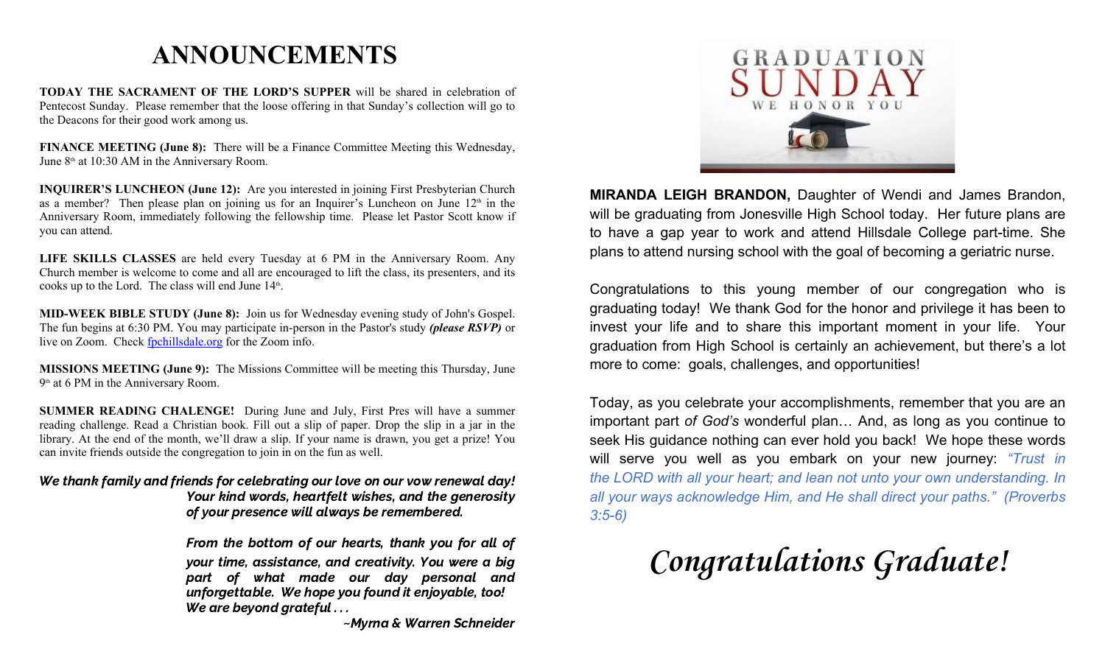# **ANNOUNCEMENTS**

**TODAY THE SACRAMENT OF THE LORD'S SUPPER** will be shared in celebration of Pentecost Sunday. Please remember that the loose offering in that Sunday's collection will go to the Deacons for their good work among us.

**FINANCE MEETING** (June 8): There will be a Finance Committee Meeting this Wednesday, June  $8<sup>th</sup>$  at 10:30 AM in the Anniversary Room.

**INQUIRER'S LUNCHEON (June 12):** Are you interested in joining First Presbyterian Church as a member? Then please plan on joining us for an Inquirer's Luncheon on June  $12<sup>th</sup>$  in the Anniversary Room, immediately following the fellowship time. Please let Pastor Scott know if you can attend.

**LIFE SKILLS CLASSES** are held every Tuesday at 6 PM in the Anniversary Room. Any Church member is welcome to come and all are encouraged to lift the class, its presenters, and its cooks up to the Lord. The class will end June  $14<sup>th</sup>$ . .

**MID-WEEK BIBLE STUDY (June 8):** Join us for Wednesday evening study of John's Gospel. The fun begins at 6:30 PM. You may participate in-person in the Pastor's study *(please RSVP)* or live on Zoom. Check [fpchillsdale.org](http://fpchillsdale.org) for the Zoom info.

**MISSIONS MEETING (June 9):** The Missions Committee will be meeting this Thursday, June 9<sup>th</sup> at 6 PM in the Anniversary Room.

**SUMMER READING CHALENGE!** During June and July, First Pres will have a summer reading challenge. Read a Christian book. Fill out a slip of paper. Drop the slip in a jar in the library. At the end of the month, we'll draw a slip. If your name is drawn, you get a prize! You can invite friends outside the congregation to join in on the fun as well.

#### We thank family and friends for celebrating our love on our vow renewal day! Your kind words, heartfelt wishes, and the generosity of your presence will always be remembered.

From the bottom of our hearts, thank you for all of your time, assistance, and creativity. You were a big part of what made our day personal and unforgettable. We hope you found it enjoyable, too! We are beyond grateful . . .~Myrna & Warren Schneider



**MIRANDA LEIGH BRANDON,** Daughter of Wendi and James Brandon, will be graduating from Jonesville High School today. Her future plans are to have a gap year to work and attend Hillsdale College part-time. She plans to attend nursing school with the goal of becoming a geriatric nurse.

Congratulations to this young member of our congregation who is graduating today! We thank God for the honor and privilege it has been to invest your life and to share this important moment in your life. Your graduation from High School is certainly an achievement, but there's a lot more to come: goals, challenges, and opportunities!

Today, as you celebrate your accomplishments, remember that you are an important part *of God's* wonderful plan… And, as long as you continue to seek His guidance nothing can ever hold you back! We hope these words will serve you well as you embark on your new journey: *"Trust in the LORD with all your heart; and lean not unto your own understanding. In all your ways acknowledge Him, and He shall direct your paths." (Proverbs 3:5-6)*

**Congratulations Graduate!**